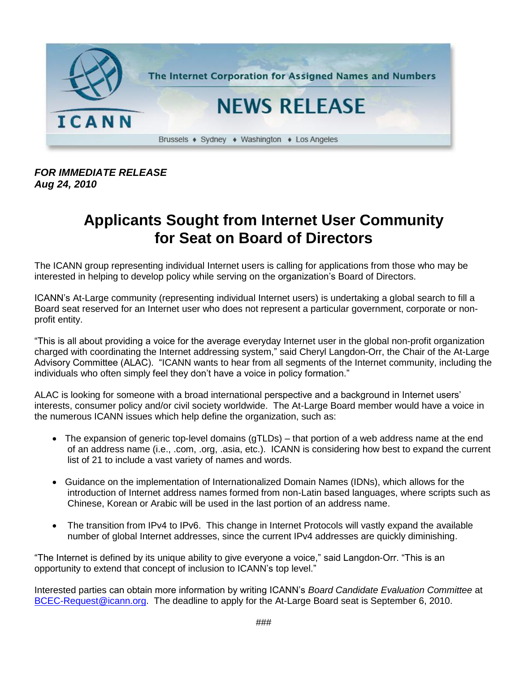

## *FOR IMMEDIATE RELEASE Aug 24, 2010*

## **Applicants Sought from Internet User Community for Seat on Board of Directors**

The ICANN group representing individual Internet users is calling for applications from those who may be interested in helping to develop policy while serving on the organization's Board of Directors.

ICANN's At-Large community (representing individual Internet users) is undertaking a global search to fill a Board seat reserved for an Internet user who does not represent a particular government, corporate or nonprofit entity.

"This is all about providing a voice for the average everyday Internet user in the global non-profit organization charged with coordinating the Internet addressing system," said Cheryl Langdon-Orr, the Chair of the At-Large Advisory Committee (ALAC). "ICANN wants to hear from all segments of the Internet community, including the individuals who often simply feel they don't have a voice in policy formation."

ALAC is looking for someone with a broad international perspective and a background in Internet users' interests, consumer policy and/or civil society worldwide. The At-Large Board member would have a voice in the numerous ICANN issues which help define the organization, such as:

- The expansion of generic top-level domains (gTLDs) that portion of a web address name at the end of an address name (i.e., .com, .org, .asia, etc.). ICANN is considering how best to expand the current list of 21 to include a vast variety of names and words.
- Guidance on the implementation of Internationalized Domain Names (IDNs), which allows for the introduction of Internet address names formed from non-Latin based languages, where scripts such as Chinese, Korean or Arabic will be used in the last portion of an address name.
- The transition from IPv4 to IPv6. This change in Internet Protocols will vastly expand the available number of global Internet addresses, since the current IPv4 addresses are quickly diminishing.

"The Internet is defined by its unique ability to give everyone a voice," said Langdon-Orr. "This is an opportunity to extend that concept of inclusion to ICANN's top level."

Interested parties can obtain more information by writing ICANN's *Board Candidate Evaluation Committee* at [BCEC-Request@icann.org.](mailto:BCEC-Request@icann.org) The deadline to apply for the At-Large Board seat is September 6, 2010.